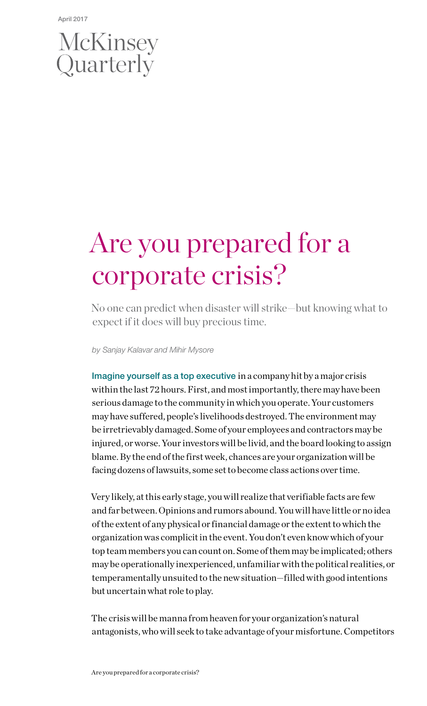# McKinsey<br>Quarterly

## Are you prepared for a corporate crisis?

No one can predict when disaster will strike—but knowing what to expect if it does will buy precious time.

*by Sanjay Kalavar and Mihir Mysore*

Imagine yourself as a top executive in a company hit by a major crisis within the last 72 hours. First, and most importantly, there may have been serious damage to the community in which you operate. Your customers may have suffered, people's livelihoods destroyed. The environment may be irretrievably damaged. Some of your employees and contractors may be injured, or worse. Your investors will be livid, and the board looking to assign blame. By the end of the first week, chances are your organization will be facing dozens of lawsuits, some set to become class actions over time.

Very likely, at this early stage, you will realize that verifiable facts are few and far between. Opinions and rumors abound. You will have little or no idea of the extent of any physical or financial damage or the extent to which the organization was complicit in the event. You don't even know which of your top team members you can count on. Some of them may be implicated; others may be operationally inexperienced, unfamiliar with the political realities, or temperamentally unsuited to the new situation—filled with good intentions but uncertain what role to play.

The crisis will be manna from heaven for your organization's natural antagonists, who will seek to take advantage of your misfortune. Competitors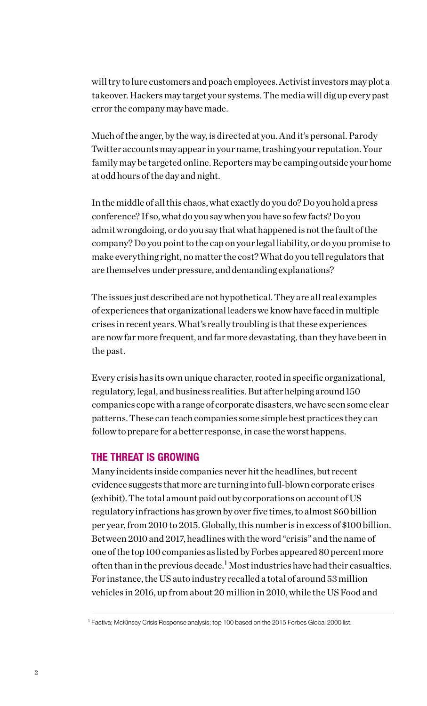will try to lure customers and poach employees. Activist investors may plot a takeover. Hackers may target your systems. The media will dig up every past error the company may have made.

Much of the anger, by the way, is directed at you. And it's personal. Parody Twitter accounts may appear in your name, trashing your reputation. Your family may be targeted online. Reporters may be camping outside your home at odd hours of the day and night.

In the middle of all this chaos, what exactly do you do? Do you hold a press conference? If so, what do you say when you have so few facts? Do you admit wrongdoing, or do you say that what happened is not the fault of the company? Do you point to the cap on your legal liability, or do you promise to make everything right, no matter the cost? What do you tell regulators that are themselves under pressure, and demanding explanations?

The issues just described are not hypothetical. They are all real examples of experiences that organizational leaders we know have faced in multiple crises in recent years. What's really troubling is that these experiences are now far more frequent, and far more devastating, than they have been in the past.

Every crisis has its own unique character, rooted in specific organizational, regulatory, legal, and business realities. But after helping around 150 companies cope with a range of corporate disasters, we have seen some clear patterns. These can teach companies some simple best practices they can follow to prepare for a better response, in case the worst happens.

### THE THREAT IS GROWING

Many incidents inside companies never hit the headlines, but recent evidence suggests that more are turning into full-blown corporate crises (exhibit). The total amount paid out by corporations on account of US regulatory infractions has grown by over five times, to almost \$60 billion per year, from 2010 to 2015. Globally, this number is in excess of \$100 billion. Between 2010 and 2017, headlines with the word "crisis" and the name of one of the top 100 companies as listed by Forbes appeared 80 percent more often than in the previous decade.<sup>1</sup> Most industries have had their casualties. For instance, the US auto industry recalled a total of around 53 million vehicles in 2016, up from about 20 million in 2010, while the US Food and

<sup>1</sup> Factiva; McKinsey Crisis Response analysis; top 100 based on the 2015 Forbes Global 2000 list.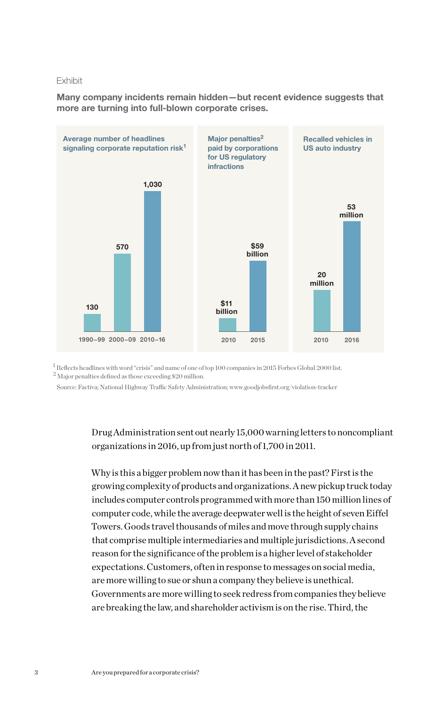### Exhibit

Many company incidents remain hidden—but recent evidence suggests that more are turning into full-blown corporate crises.



 $^{\rm l}$  Reflects headlines with word "crisis" and name of one of top 100 companies in 2015 Forbes Global 2000 list.  $^2$  Major penalties defined as those exceeding  $\$ 20$  million.

Source: Factiva; National Highway Traffic Safety Administration; www.goodjobsfirst.org/violation-tracker

### Drug Administration sent out nearly 15,000 warning letters to noncompliant organizations in 2016, up from just north of 1,700 in 2011.

Why is this a bigger problem now than it has been in the past? First is the growing complexity of products and organizations. A new pickup truck today includes computer controls programmed with more than 150 million lines of computer code, while the average deepwater well is the height of seven Eiffel Towers. Goods travel thousands of miles and move through supply chains that comprise multiple intermediaries and multiple jurisdictions. A second reason for the significance of the problem is a higher level of stakeholder expectations. Customers, often in response to messages on social media, are more willing to sue or shun a company they believe is unethical. Governments are more willing to seek redress from companies they believe are breaking the law, and shareholder activism is on the rise. Third, the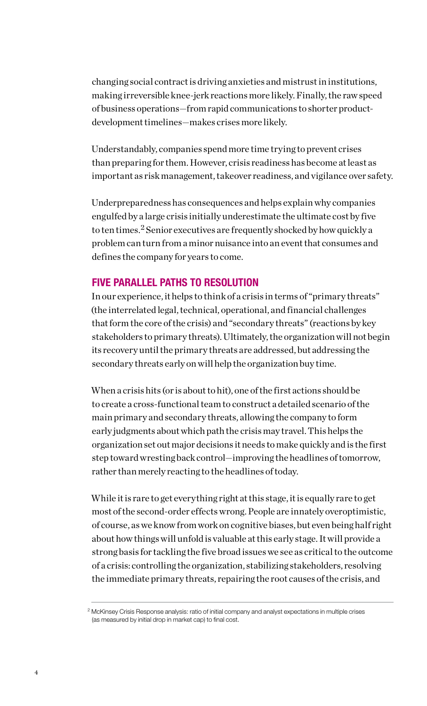changing social contract is driving anxieties and mistrust in institutions, making irreversible knee-jerk reactions more likely. Finally, the raw speed of business operations—from rapid communications to shorter productdevelopment timelines—makes crises more likely.

Understandably, companies spend more time trying to prevent crises than preparing for them. However, crisis readiness has become at least as important as risk management, takeover readiness, and vigilance over safety.

Underpreparedness has consequences and helps explain why companies engulfed by a large crisis initially underestimate the ultimate cost by five to ten times.<sup>2</sup> Senior executives are frequently shocked by how quickly a problem can turn from a minor nuisance into an event that consumes and defines the company for years to come.

### FIVE PARALLEL PATHS TO RESOLUTION

In our experience, it helps to think of a crisis in terms of "primary threats" (the interrelated legal, technical, operational, and financial challenges that form the core of the crisis) and "secondary threats" (reactions by key stakeholders to primary threats). Ultimately, the organization will not begin its recovery until the primary threats are addressed, but addressing the secondary threats early on will help the organization buy time.

When a crisis hits (or is about to hit), one of the first actions should be to create a cross-functional team to construct a detailed scenario of the main primary and secondary threats, allowing the company to form early judgments about which path the crisis may travel. This helps the organization set out major decisions it needs to make quickly and is the first step toward wresting back control—improving the headlines of tomorrow, rather than merely reacting to the headlines of today.

While it is rare to get everything right at this stage, it is equally rare to get most of the second-order effects wrong. People are innately overoptimistic, of course, as we know from work on cognitive biases, but even being half right about how things will unfold is valuable at this early stage. It will provide a strong basis for tackling the five broad issues we see as critical to the outcome of a crisis: controlling the organization, stabilizing stakeholders, resolving the immediate primary threats, repairing the root causes of the crisis, and

<sup>2</sup> McKinsey Crisis Response analysis: ratio of initial company and analyst expectations in multiple crises (as measured by initial drop in market cap) to final cost.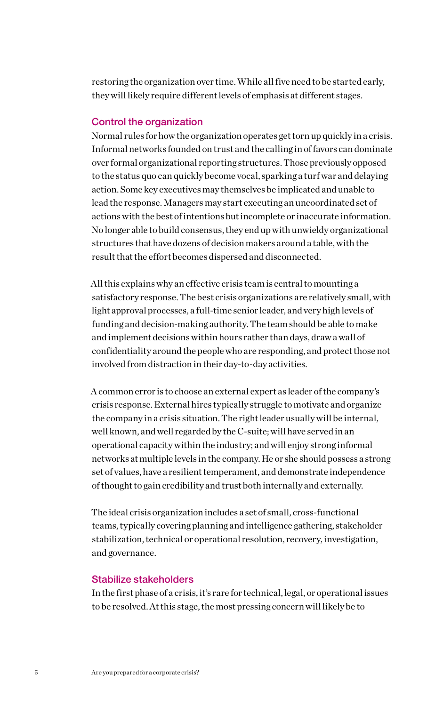restoring the organization over time. While all five need to be started early, they will likely require different levels of emphasis at different stages.

### Control the organization

Normal rules for how the organization operates get torn up quickly in a crisis. Informal networks founded on trust and the calling in of favors can dominate over formal organizational reporting structures. Those previously opposed to the status quo can quickly become vocal, sparking a turf war and delaying action. Some key executives may themselves be implicated and unable to lead the response. Managers may start executing an uncoordinated set of actions with the best of intentions but incomplete or inaccurate information. No longer able to build consensus, they end up with unwieldy organizational structures that have dozens of decision makers around a table, with the result that the effort becomes dispersed and disconnected.

All this explains why an effective crisis team is central to mounting a satisfactory response. The best crisis organizations are relatively small, with light approval processes, a full-time senior leader, and very high levels of funding and decision-making authority. The team should be able to make and implement decisions within hours rather than days, draw a wall of confidentiality around the people who are responding, and protect those not involved from distraction in their day-to-day activities.

A common error is to choose an external expert as leader of the company's crisis response. External hires typically struggle to motivate and organize the company in a crisis situation. The right leader usually will be internal, well known, and well regarded by the C-suite; will have served in an operational capacity within the industry; and will enjoy strong informal networks at multiple levels in the company. He or she should possess a strong set of values, have a resilient temperament, and demonstrate independence of thought to gain credibility and trust both internally and externally.

The ideal crisis organization includes a set of small, cross-functional teams, typically covering planning and intelligence gathering, stakeholder stabilization, technical or operational resolution, recovery, investigation, and governance.

### Stabilize stakeholders

In the first phase of a crisis, it's rare for technical, legal, or operational issues to be resolved. At this stage, the most pressing concern will likely be to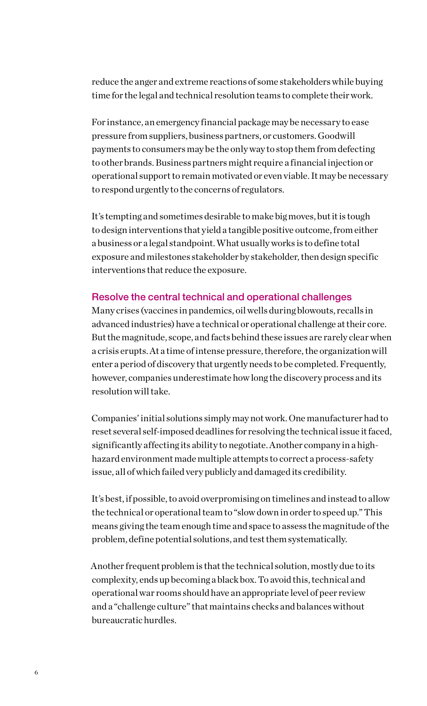reduce the anger and extreme reactions of some stakeholders while buying time for the legal and technical resolution teams to complete their work.

For instance, an emergency financial package may be necessary to ease pressure from suppliers, business partners, or customers. Goodwill payments to consumers may be the only way to stop them from defecting to other brands. Business partners might require a financial injection or operational support to remain motivated or even viable. It may be necessary to respond urgently to the concerns of regulators.

It's tempting and sometimes desirable to make big moves, but it is tough to design interventions that yield a tangible positive outcome, from either a business or a legal standpoint. What usually works is to define total exposure and milestones stakeholder by stakeholder, then design specific interventions that reduce the exposure.

### Resolve the central technical and operational challenges

Many crises (vaccines in pandemics, oil wells during blowouts, recalls in advanced industries) have a technical or operational challenge at their core. But the magnitude, scope, and facts behind these issues are rarely clear when a crisis erupts. At a time of intense pressure, therefore, the organization will enter a period of discovery that urgently needs to be completed. Frequently, however, companies underestimate how long the discovery process and its resolution will take.

Companies' initial solutions simply may not work. One manufacturer had to reset several self-imposed deadlines for resolving the technical issue it faced, significantly affecting its ability to negotiate. Another company in a highhazard environment made multiple attempts to correct a process-safety issue, all of which failed very publicly and damaged its credibility.

It's best, if possible, to avoid overpromising on timelines and instead to allow the technical or operational team to "slow down in order to speed up." This means giving the team enough time and space to assess the magnitude of the problem, define potential solutions, and test them systematically.

Another frequent problem is that the technical solution, mostly due to its complexity, ends up becoming a black box. To avoid this, technical and operational war rooms should have an appropriate level of peer review and a "challenge culture" that maintains checks and balances without bureaucratic hurdles.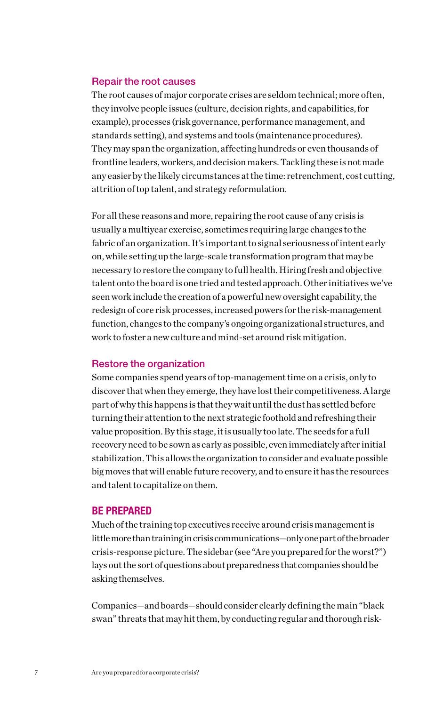### Repair the root causes

The root causes of major corporate crises are seldom technical; more often, they involve people issues (culture, decision rights, and capabilities, for example), processes (risk governance, performance management, and standards setting), and systems and tools (maintenance procedures). They may span the organization, affecting hundreds or even thousands of frontline leaders, workers, and decision makers. Tackling these is not made any easier by the likely circumstances at the time: retrenchment, cost cutting, attrition of top talent, and strategy reformulation.

For all these reasons and more, repairing the root cause of any crisis is usually a multiyear exercise, sometimes requiring large changes to the fabric of an organization. It's important to signal seriousness of intent early on, while setting up the large-scale transformation program that may be necessary to restore the company to full health. Hiring fresh and objective talent onto the board is one tried and tested approach. Other initiatives we've seen work include the creation of a powerful new oversight capability, the redesign of core risk processes, increased powers for the risk-management function, changes to the company's ongoing organizational structures, and work to foster a new culture and mind-set around risk mitigation.

#### Restore the organization

Some companies spend years of top-management time on a crisis, only to discover that when they emerge, they have lost their competitiveness. A large part of why this happens is that they wait until the dust has settled before turning their attention to the next strategic foothold and refreshing their value proposition. By this stage, it is usually too late. The seeds for a full recovery need to be sown as early as possible, even immediately after initial stabilization. This allows the organization to consider and evaluate possible big moves that will enable future recovery, and to ensure it has the resources and talent to capitalize on them.

### BE PREPARED

Much of the training top executives receive around crisis management is little more than training in crisis communications—only one part of the broader crisis-response picture. The sidebar (see "Are you prepared for the worst?") lays out the sort of questions about preparedness that companies should be asking themselves.

Companies—and boards—should consider clearly defining the main "black swan" threats that may hit them, by conducting regular and thorough risk-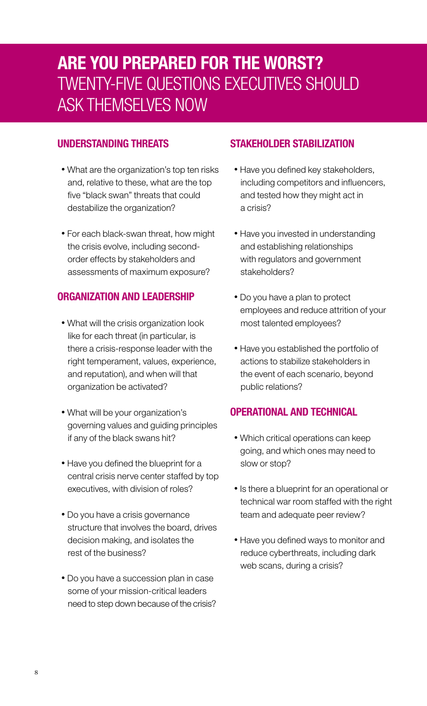### ARE YOU PREPARED FOR THE WORST? TWENTY-FIVE QUESTIONS EXECUTIVES SHOULD ASK THEMSELVES NOW

### UNDERSTANDING THREATS

- What are the organization's top ten risks and, relative to these, what are the top five "black swan" threats that could destabilize the organization?
- For each black-swan threat, how might the crisis evolve, including secondorder effects by stakeholders and assessments of maximum exposure?

### ORGANIZATION AND LEADERSHIP

- What will the crisis organization look like for each threat (in particular, is there a crisis-response leader with the right temperament, values, experience, and reputation), and when will that organization be activated?
- What will be your organization's governing values and guiding principles if any of the black swans hit?
- Have you defined the blueprint for a central crisis nerve center staffed by top executives, with division of roles?
- Do you have a crisis governance structure that involves the board, drives decision making, and isolates the rest of the business?
- Do you have a succession plan in case some of your mission-critical leaders need to step down because of the crisis?

### STAKEHOLDER STABILIZATION

- Have you defined key stakeholders, including competitors and influencers, and tested how they might act in a crisis?
- Have you invested in understanding and establishing relationships with regulators and government stakeholders?
- Do you have a plan to protect employees and reduce attrition of your most talented employees?
- Have you established the portfolio of actions to stabilize stakeholders in the event of each scenario, beyond public relations?

### OPERATIONAL AND TECHNICAL

- Which critical operations can keep going, and which ones may need to slow or stop?
- Is there a blueprint for an operational or technical war room staffed with the right team and adequate peer review?
- Have you defined ways to monitor and reduce cyberthreats, including dark web scans, during a crisis?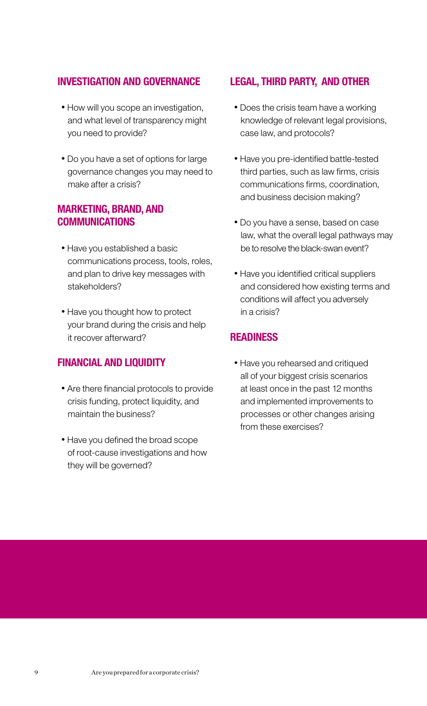### INVESTIGATION AND GOVERNANCE

- How will you scope an investigation, and what level of transparency might you need to provide?
- Do you have a set of options for large governance changes you may need to make after a crisis?

### MARKETING, BRAND, AND COMMUNICATIONS

- Have you established a basic communications process, tools, roles, and plan to drive key messages with stakeholders?
- Have you thought how to protect your brand during the crisis and help it recover afterward?

### FINANCIAL AND LIQUIDITY

- Are there financial protocols to provide crisis funding, protect liquidity, and maintain the business?
- Have you defined the broad scope of root-cause investigations and how they will be governed?

### LEGAL, THIRD PARTY, AND OTHER

- Does the crisis team have a working knowledge of relevant legal provisions, case law, and protocols?
- Have you pre-identified battle-tested third parties, such as law firms, crisis communications firms, coordination, and business decision making?
- Do you have a sense, based on case law, what the overall legal pathways may be to resolve the black-swan event?
- Have you identified critical suppliers and considered how existing terms and conditions will affect you adversely in a crisis?

### READINESS

 • Have you rehearsed and critiqued all of your biggest crisis scenarios at least once in the past 12 months and implemented improvements to processes or other changes arising from these exercises?